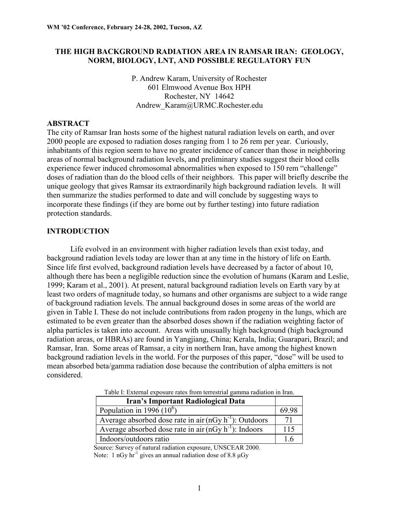## **THE HIGH BACKGROUND RADIATION AREA IN RAMSAR IRAN: GEOLOGY, NORM, BIOLOGY, LNT, AND POSSIBLE REGULATORY FUN**

P. Andrew Karam, University of Rochester 601 Elmwood Avenue Box HPH Rochester, NY 14642 Andrew\_Karam@URMC.Rochester.edu

## **ABSTRACT**

The city of Ramsar Iran hosts some of the highest natural radiation levels on earth, and over 2000 people are exposed to radiation doses ranging from 1 to 26 rem per year. Curiously, inhabitants of this region seem to have no greater incidence of cancer than those in neighboring areas of normal background radiation levels, and preliminary studies suggest their blood cells experience fewer induced chromosomal abnormalities when exposed to 150 rem "challenge" doses of radiation than do the blood cells of their neighbors. This paper will briefly describe the unique geology that gives Ramsar its extraordinarily high background radiation levels. It will then summarize the studies performed to date and will conclude by suggesting ways to incorporate these findings (if they are borne out by further testing) into future radiation protection standards.

#### **INTRODUCTION**

 Life evolved in an environment with higher radiation levels than exist today, and background radiation levels today are lower than at any time in the history of life on Earth. Since life first evolved, background radiation levels have decreased by a factor of about 10, although there has been a negligible reduction since the evolution of humans (Karam and Leslie, 1999; Karam et al., 2001). At present, natural background radiation levels on Earth vary by at least two orders of magnitude today, so humans and other organisms are subject to a wide range of background radiation levels. The annual background doses in some areas of the world are given in Table I. These do not include contributions from radon progeny in the lungs, which are estimated to be even greater than the absorbed doses shown if the radiation weighting factor of alpha particles is taken into account. Areas with unusually high background (high background radiation areas, or HBRAs) are found in Yangjiang, China; Kerala, India; Guarapari, Brazil; and Ramsar, Iran. Some areas of Ramsar, a city in northern Iran, have among the highest known background radiation levels in the world. For the purposes of this paper, "dose" will be used to mean absorbed beta/gamma radiation dose because the contribution of alpha emitters is not considered.

| Table 1. External exposure rates from terrestrial gamma ratitation in frant |       |  |  |
|-----------------------------------------------------------------------------|-------|--|--|
| <b>Iran's Important Radiological Data</b>                                   |       |  |  |
| Population in 1996 $(10^6)$                                                 | 69.98 |  |  |
| Average absorbed dose rate in air $(nGy h-1)$ : Outdoors                    | 71    |  |  |
| Average absorbed dose rate in air $(nGy h-1)$ : Indoors                     | 115   |  |  |
| Indoors/outdoors ratio                                                      | 16    |  |  |

Table I: External exposure rates from terrestrial gamma radiation in Iran.

Source: Survey of natural radiation exposure, UNSCEAR 2000. Note: 1 nGy  $hr^{-1}$  gives an annual radiation dose of 8.8  $\mu$ Gy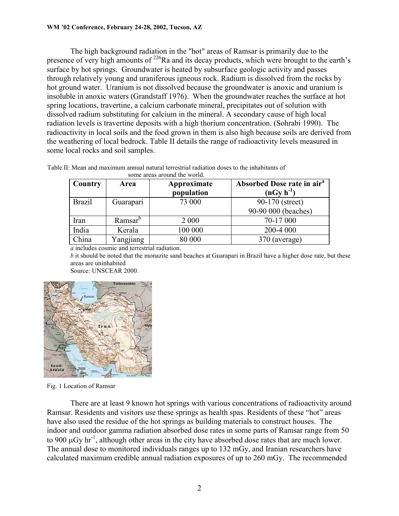The high background radiation in the "hot" areas of Ramsar is primarily due to the presence of very high amounts of <sup>226</sup>Ra and its decay products, which were brought to the earth's surface by hot springs. Groundwater is heated by subsurface geologic activity and passes through relatively young and uraniferous igneous rock. Radium is dissolved from the rocks by hot ground water. Uranium is not dissolved because the groundwater is anoxic and uranium is insoluble in anoxic waters (Grandstaff 1976). When the groundwater reaches the surface at hot spring locations, travertine, a calcium carbonate mineral, precipitates out of solution with dissolved radium substituting for calcium in the mineral. A secondary cause of high local radiation levels is travertine deposits with a high thorium concentration. (Sohrabi 1990). The radioactivity in local soils and the food grown in them is also high because soils are derived from the weathering of local bedrock. Table II details the range of radioactivity levels measured in some local rocks and soil samples.

| Country       | Area                | Approximate<br>population | Absorbed Dose rate in air <sup>a</sup><br>$(nGy h^{-1})$ |
|---------------|---------------------|---------------------------|----------------------------------------------------------|
| <b>Brazil</b> | Guarapari           | 73 000                    | 90-170 (street)<br>90-90 000 (beaches)                   |
| Iran          | Ramsar <sup>b</sup> | 2 0 0 0                   | 70-17 000                                                |
| India         | Kerala              | 100 000                   | 200-4 000                                                |
| China         | Yangjiang           | 80 000                    | 370 (average)                                            |

Table II: Mean and maximum annual natural terrestrial radiation doses to the inhabitants of some areas around the world.

*a* includes cosmic and terrestrial radiation.

*b* it should be noted that the monazite sand beaches at Guarapari in Brazil have a higher dose rate, but these areas are uninhabited

Source: UNSCEAR 2000.



Fig. 1 Location of Ramsar

 There are at least 9 known hot springs with various concentrations of radioactivity around Ramsar. Residents and visitors use these springs as health spas. Residents of these "hot" areas have also used the residue of the hot springs as building materials to construct houses. The indoor and outdoor gamma radiation absorbed dose rates in some parts of Ramsar range from 50 to 900  $\mu$ Gy hr<sup>-1</sup>, although other areas in the city have absorbed dose rates that are much lower. The annual dose to monitored individuals ranges up to 132 mGy, and Iranian researchers have calculated maximum credible annual radiation exposures of up to 260 mGy. The recommended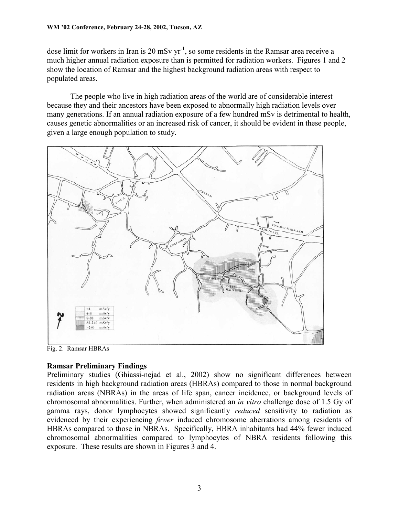dose limit for workers in Iran is 20 mSv  $yr^{-1}$ , so some residents in the Ramsar area receive a much higher annual radiation exposure than is permitted for radiation workers. Figures 1 and 2 show the location of Ramsar and the highest background radiation areas with respect to populated areas.

 The people who live in high radiation areas of the world are of considerable interest because they and their ancestors have been exposed to abnormally high radiation levels over many generations. If an annual radiation exposure of a few hundred mSv is detrimental to health, causes genetic abnormalities or an increased risk of cancer, it should be evident in these people, given a large enough population to study.



Fig. 2. Ramsar HBRAs

# **Ramsar Preliminary Findings**

Preliminary studies (Ghiassi-nejad et al., 2002) show no significant differences between residents in high background radiation areas (HBRAs) compared to those in normal background radiation areas (NBRAs) in the areas of life span, cancer incidence, or background levels of chromosomal abnormalities. Further, when administered an *in vitro* challenge dose of 1.5 Gy of gamma rays, donor lymphocytes showed significantly *reduced* sensitivity to radiation as evidenced by their experiencing *fewer* induced chromosome aberrations among residents of HBRAs compared to those in NBRAs. Specifically, HBRA inhabitants had 44% fewer induced chromosomal abnormalities compared to lymphocytes of NBRA residents following this exposure. These results are shown in Figures 3 and 4.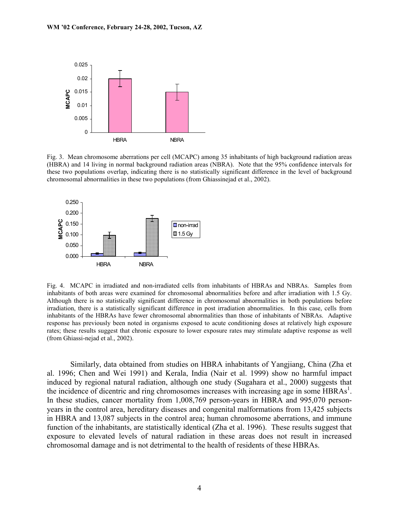

Fig. 3. Mean chromosome aberrations per cell (MCAPC) among 35 inhabitants of high background radiation areas (HBRA) and 14 living in normal background radiation areas (NBRA). Note that the 95% confidence intervals for these two populations overlap, indicating there is no statistically significant difference in the level of background chromosomal abnormalities in these two populations (from Ghiassinejad et al., 2002).



Fig. 4. MCAPC in irradiated and non-irradiated cells from inhabitants of HBRAs and NBRAs. Samples from inhabitants of both areas were examined for chromosomal abnormalities before and after irradiation with 1.5 Gy. Although there is no statistically significant difference in chromosomal abnormalities in both populations before irradiation, there is a statistically significant difference in post irradiation abnormalities. In this case, cells from inhabitants of the HBRAs have fewer chromosomal abnormalities than those of inhabitants of NBRAs. Adaptive response has previously been noted in organisms exposed to acute conditioning doses at relatively high exposure rates; these results suggest that chronic exposure to lower exposure rates may stimulate adaptive response as well (from Ghiassi-nejad et al., 2002).

 Similarly, data obtained from studies on HBRA inhabitants of Yangjiang, China (Zha et al. 1996; Chen and Wei 1991) and Kerala, India (Nair et al. 1999) show no harmful impact induced by regional natural radiation, although one study (Sugahara et al., 2000) suggests that the incidence of dicentric and ring chromosomes increases with increasing age in some HBRAs<sup>1</sup>. In these studies, cancer mortality from 1,008,769 person-years in HBRA and 995,070 personyears in the control area, hereditary diseases and congenital malformations from 13,425 subjects in HBRA and 13,087 subjects in the control area; human chromosome aberrations, and immune function of the inhabitants, are statistically identical (Zha et al. 1996). These results suggest that exposure to elevated levels of natural radiation in these areas does not result in increased chromosomal damage and is not detrimental to the health of residents of these HBRAs.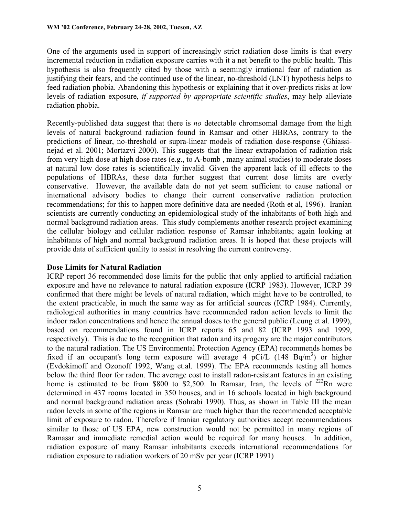One of the arguments used in support of increasingly strict radiation dose limits is that every incremental reduction in radiation exposure carries with it a net benefit to the public health. This hypothesis is also frequently cited by those with a seemingly irrational fear of radiation as justifying their fears, and the continued use of the linear, no-threshold (LNT) hypothesis helps to feed radiation phobia. Abandoning this hypothesis or explaining that it over-predicts risks at low levels of radiation exposure, *if supported by appropriate scientific studies*, may help alleviate radiation phobia.

Recently-published data suggest that there is *no* detectable chromsomal damage from the high levels of natural background radiation found in Ramsar and other HBRAs, contrary to the predictions of linear, no-threshold or supra-linear models of radiation dose-response (Ghiassinejad et al. 2001; Mortazvi 2000). This suggests that the linear extrapolation of radiation risk from very high dose at high dose rates (e.g., to A-bomb , many animal studies) to moderate doses at natural low dose rates is scientifically invalid. Given the apparent lack of ill effects to the populations of HBRAs, these data further suggest that current dose limits are overly conservative. However, the available data do not yet seem sufficient to cause national or international advisory bodies to change their current conservative radiation protection recommendations; for this to happen more definitive data are needed (Roth et al, 1996). Iranian scientists are currently conducting an epidemiological study of the inhabitants of both high and normal background radiation areas. This study complements another research project examining the cellular biology and cellular radiation response of Ramsar inhabitants; again looking at inhabitants of high and normal background radiation areas. It is hoped that these projects will provide data of sufficient quality to assist in resolving the current controversy.

# **Dose Limits for Natural Radiation**

ICRP report 36 recommended dose limits for the public that only applied to artificial radiation exposure and have no relevance to natural radiation exposure (ICRP 1983). However, ICRP 39 confirmed that there might be levels of natural radiation, which might have to be controlled, to the extent practicable, in much the same way as for artificial sources (ICRP 1984). Currently, radiological authorities in many countries have recommended radon action levels to limit the indoor radon concentrations and hence the annual doses to the general public (Leung et al. 1999), based on recommendations found in ICRP reports 65 and 82 (ICRP 1993 and 1999, respectively). This is due to the recognition that radon and its progeny are the major contributors to the natural radiation. The US Environmental Protection Agency (EPA) recommends homes be fixed if an occupant's long term exposure will average 4  $pCi/L$  (148 Bq/m<sup>3</sup>) or higher (Evdokimoff and Ozonoff 1992, Wang et.al. 1999). The EPA recommends testing all homes below the third floor for radon. The average cost to install radon-resistant features in an existing home is estimated to be from \$800 to \$2,500. In Ramsar, Iran, the levels of  $^{222}$ Rn were determined in 437 rooms located in 350 houses, and in 16 schools located in high background and normal background radiation areas (Sohrabi 1990). Thus, as shown in Table III the mean radon levels in some of the regions in Ramsar are much higher than the recommended acceptable limit of exposure to radon. Therefore if Iranian regulatory authorities accept recommendations similar to those of US EPA, new construction would not be permitted in many regions of Ramasar and immediate remedial action would be required for many houses. In addition, radiation exposure of many Ramsar inhabitants exceeds international recommendations for radiation exposure to radiation workers of 20 mSv per year (ICRP 1991)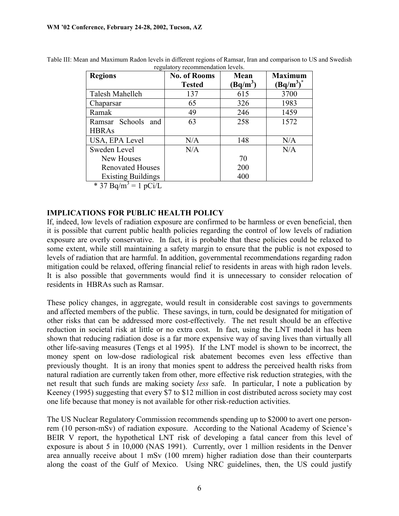| <b>Regions</b>            | <b>No. of Rooms</b> | Mean       | <b>Maximum</b> |
|---------------------------|---------------------|------------|----------------|
|                           | <b>Tested</b>       | $(Bq/m^3)$ | $(Bq/m^3)^*$   |
| Talesh Mahelleh           | 137                 | 615        | 3700           |
| Chaparsar                 | 65                  | 326        | 1983           |
| Ramak                     | 49                  | 246        | 1459           |
| Ramsar Schools<br>and     | 63                  | 258        | 1572           |
| <b>HBRAs</b>              |                     |            |                |
| USA, EPA Level            | N/A                 | 148        | N/A            |
| Sweden Level              | N/A                 |            | N/A            |
| New Houses                |                     | 70         |                |
| <b>Renovated Houses</b>   |                     | 200        |                |
| <b>Existing Buildings</b> |                     | 400        |                |

Table III: Mean and Maximum Radon levels in different regions of Ramsar, Iran and comparison to US and Swedish regulatory recommendation levels.

\* 37 Bq/m<sup>3</sup> = 1 pCi/L

## **IMPLICATIONS FOR PUBLIC HEALTH POLICY**

If, indeed, low levels of radiation exposure are confirmed to be harmless or even beneficial, then it is possible that current public health policies regarding the control of low levels of radiation exposure are overly conservative. In fact, it is probable that these policies could be relaxed to some extent, while still maintaining a safety margin to ensure that the public is not exposed to levels of radiation that are harmful. In addition, governmental recommendations regarding radon mitigation could be relaxed, offering financial relief to residents in areas with high radon levels. It is also possible that governments would find it is unnecessary to consider relocation of residents in HBRAs such as Ramsar.

These policy changes, in aggregate, would result in considerable cost savings to governments and affected members of the public. These savings, in turn, could be designated for mitigation of other risks that can be addressed more cost-effectively. The net result should be an effective reduction in societal risk at little or no extra cost. In fact, using the LNT model it has been shown that reducing radiation dose is a far more expensive way of saving lives than virtually all other life-saving measures (Tengs et al 1995). If the LNT model is shown to be incorrect, the money spent on low-dose radiological risk abatement becomes even less effective than previously thought. It is an irony that monies spent to address the perceived health risks from natural radiation are currently taken from other, more effective risk reduction strategies, with the net result that such funds are making society *less* safe. In particular, I note a publication by Keeney (1995) suggesting that every \$7 to \$12 million in cost distributed across society may cost one life because that money is not available for other risk-reduction activities.

The US Nuclear Regulatory Commission recommends spending up to \$2000 to avert one personrem (10 person-mSv) of radiation exposure. According to the National Academy of Science's BEIR V report, the hypothetical LNT risk of developing a fatal cancer from this level of exposure is about 5 in 10,000 (NAS 1991). Currently, over 1 million residents in the Denver area annually receive about 1 mSv (100 mrem) higher radiation dose than their counterparts along the coast of the Gulf of Mexico. Using NRC guidelines, then, the US could justify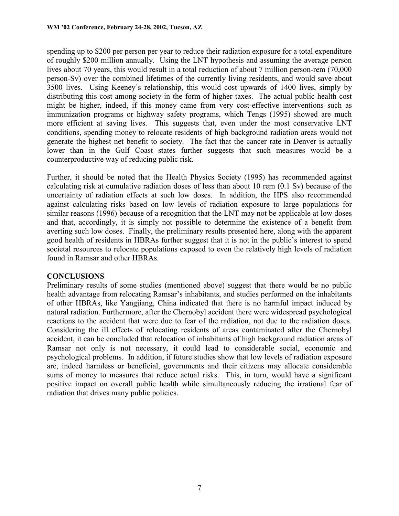spending up to \$200 per person per year to reduce their radiation exposure for a total expenditure of roughly \$200 million annually. Using the LNT hypothesis and assuming the average person lives about 70 years, this would result in a total reduction of about 7 million person-rem (70,000 person-Sv) over the combined lifetimes of the currently living residents, and would save about 3500 lives. Using Keeney's relationship, this would cost upwards of 1400 lives, simply by distributing this cost among society in the form of higher taxes. The actual public health cost might be higher, indeed, if this money came from very cost-effective interventions such as immunization programs or highway safety programs, which Tengs (1995) showed are much more efficient at saving lives. This suggests that, even under the most conservative LNT conditions, spending money to relocate residents of high background radiation areas would not generate the highest net benefit to society. The fact that the cancer rate in Denver is actually lower than in the Gulf Coast states further suggests that such measures would be a counterproductive way of reducing public risk.

Further, it should be noted that the Health Physics Society (1995) has recommended against calculating risk at cumulative radiation doses of less than about 10 rem (0.1 Sv) because of the uncertainty of radiation effects at such low doses. In addition, the HPS also recommended against calculating risks based on low levels of radiation exposure to large populations for similar reasons (1996) because of a recognition that the LNT may not be applicable at low doses and that, accordingly, it is simply not possible to determine the existence of a benefit from averting such low doses. Finally, the preliminary results presented here, along with the apparent good health of residents in HBRAs further suggest that it is not in the public's interest to spend societal resources to relocate populations exposed to even the relatively high levels of radiation found in Ramsar and other HBRAs.

# **CONCLUSIONS**

Preliminary results of some studies (mentioned above) suggest that there would be no public health advantage from relocating Ramsar's inhabitants, and studies performed on the inhabitants of other HBRAs, like Yangjiang, China indicated that there is no harmful impact induced by natural radiation. Furthermore, after the Chernobyl accident there were widespread psychological reactions to the accident that were due to fear of the radiation, not due to the radiation doses. Considering the ill effects of relocating residents of areas contaminated after the Chernobyl accident, it can be concluded that relocation of inhabitants of high background radiation areas of Ramsar not only is not necessary, it could lead to considerable social, economic and psychological problems. In addition, if future studies show that low levels of radiation exposure are, indeed harmless or beneficial, governments and their citizens may allocate considerable sums of money to measures that reduce actual risks. This, in turn, would have a significant positive impact on overall public health while simultaneously reducing the irrational fear of radiation that drives many public policies.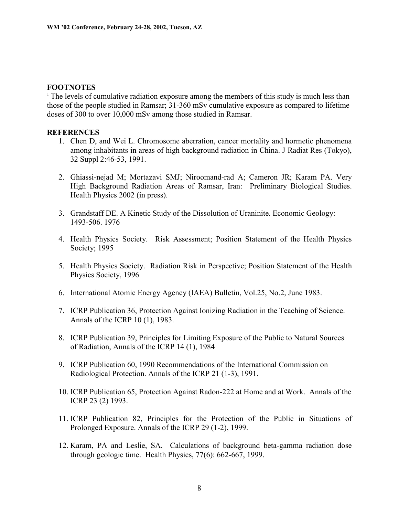#### **FOOTNOTES**

<sup>1</sup> The levels of cumulative radiation exposure among the members of this study is much less than those of the people studied in Ramsar; 31-360 mSv cumulative exposure as compared to lifetime doses of 300 to over 10,000 mSv among those studied in Ramsar.

#### **REFERENCES**

- 1. Chen D, and Wei L. Chromosome aberration, cancer mortality and hormetic phenomena among inhabitants in areas of high background radiation in China. J Radiat Res (Tokyo), 32 Suppl 2:46-53, 1991.
- 2. Ghiassi-nejad M; Mortazavi SMJ; Niroomand-rad A; Cameron JR; Karam PA. Very High Background Radiation Areas of Ramsar, Iran: Preliminary Biological Studies. Health Physics 2002 (in press).
- 3. Grandstaff DE. A Kinetic Study of the Dissolution of Uraninite. Economic Geology: 1493-506. 1976
- 4. Health Physics Society. Risk Assessment; Position Statement of the Health Physics Society; 1995
- 5. Health Physics Society. Radiation Risk in Perspective; Position Statement of the Health Physics Society, 1996
- 6. International Atomic Energy Agency (IAEA) Bulletin, Vol.25, No.2, June 1983.
- 7. ICRP Publication 36, Protection Against Ionizing Radiation in the Teaching of Science. Annals of the ICRP 10 (1), 1983.
- 8. ICRP Publication 39, Principles for Limiting Exposure of the Public to Natural Sources of Radiation, Annals of the ICRP 14 (1), 1984
- 9. ICRP Publication 60, 1990 Recommendations of the International Commission on Radiological Protection. Annals of the ICRP 21 (1-3), 1991.
- 10. ICRP Publication 65, Protection Against Radon-222 at Home and at Work. Annals of the ICRP 23 (2) 1993.
- 11. ICRP Publication 82, Principles for the Protection of the Public in Situations of Prolonged Exposure. Annals of the ICRP 29 (1-2), 1999.
- 12. Karam, PA and Leslie, SA. Calculations of background beta-gamma radiation dose through geologic time. Health Physics, 77(6): 662-667, 1999.